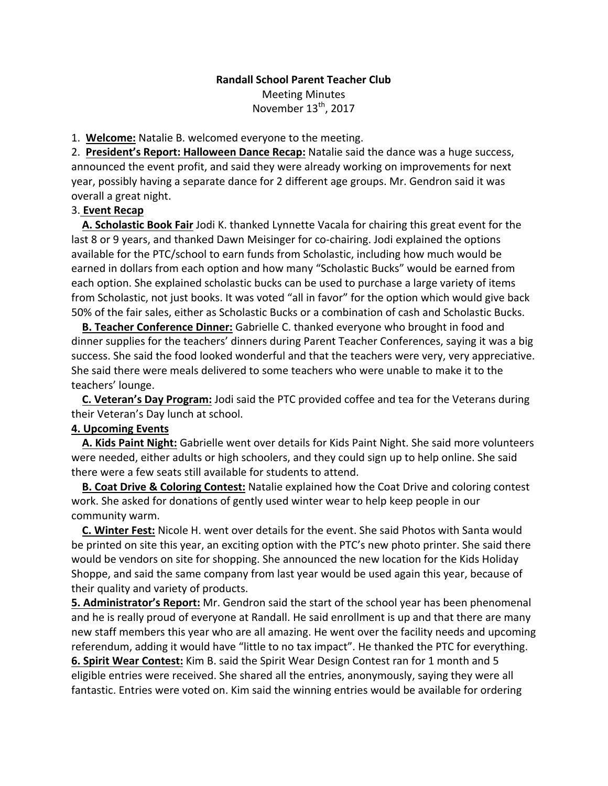## **Randall School Parent Teacher Club** Meeting Minutes November 13<sup>th</sup>, 2017

1. **Welcome:** Natalie B. welcomed everyone to the meeting.

2. President's Report: Halloween Dance Recap: Natalie said the dance was a huge success, announced the event profit, and said they were already working on improvements for next year, possibly having a separate dance for 2 different age groups. Mr. Gendron said it was overall a great night.

## 3. **Event Recap**

**A. Scholastic Book Fair** Jodi K. thanked Lynnette Vacala for chairing this great event for the last 8 or 9 years, and thanked Dawn Meisinger for co-chairing. Jodi explained the options available for the PTC/school to earn funds from Scholastic, including how much would be earned in dollars from each option and how many "Scholastic Bucks" would be earned from each option. She explained scholastic bucks can be used to purchase a large variety of items from Scholastic, not just books. It was voted "all in favor" for the option which would give back 50% of the fair sales, either as Scholastic Bucks or a combination of cash and Scholastic Bucks.

**B. Teacher Conference Dinner:** Gabrielle C. thanked everyone who brought in food and dinner supplies for the teachers' dinners during Parent Teacher Conferences, saying it was a big success. She said the food looked wonderful and that the teachers were very, very appreciative. She said there were meals delivered to some teachers who were unable to make it to the teachers' lounge.

**C.** Veteran's Day Program: Jodi said the PTC provided coffee and tea for the Veterans during their Veteran's Day lunch at school.

## **4. Upcoming Events**

**A. Kids Paint Night:** Gabrielle went over details for Kids Paint Night. She said more volunteers were needed, either adults or high schoolers, and they could sign up to help online. She said there were a few seats still available for students to attend.

**B. Coat Drive & Coloring Contest:** Natalie explained how the Coat Drive and coloring contest work. She asked for donations of gently used winter wear to help keep people in our community warm.

**C. Winter Fest:** Nicole H. went over details for the event. She said Photos with Santa would be printed on site this year, an exciting option with the PTC's new photo printer. She said there would be vendors on site for shopping. She announced the new location for the Kids Holiday Shoppe, and said the same company from last year would be used again this year, because of their quality and variety of products.

**5. Administrator's Report:** Mr. Gendron said the start of the school year has been phenomenal and he is really proud of everyone at Randall. He said enrollment is up and that there are many new staff members this year who are all amazing. He went over the facility needs and upcoming referendum, adding it would have "little to no tax impact". He thanked the PTC for everything.

**6. Spirit Wear Contest:** Kim B. said the Spirit Wear Design Contest ran for 1 month and 5 eligible entries were received. She shared all the entries, anonymously, saying they were all fantastic. Entries were voted on. Kim said the winning entries would be available for ordering